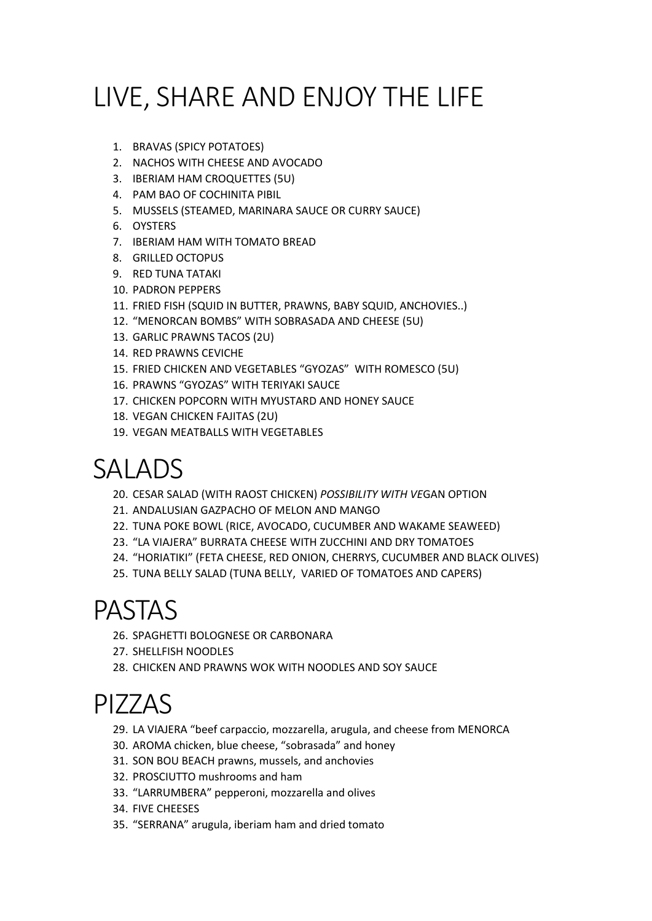# LIVE, SHARE AND ENJOY THE LIFE

- 1. BRAVAS (SPICY POTATOES)
- 2. NACHOS WITH CHEESE AND AVOCADO
- 3. IBERIAM HAM CROQUETTES (5U)
- 4. PAM BAO OF COCHINITA PIBIL
- 5. MUSSELS (STEAMED, MARINARA SAUCE OR CURRY SAUCE)
- 6. OYSTERS
- 7. IBERIAM HAM WITH TOMATO BREAD
- 8. GRILLED OCTOPUS
- 9. RED TUNA TATAKI
- 10. PADRON PEPPERS
- 11. FRIED FISH (SQUID IN BUTTER, PRAWNS, BABY SQUID, ANCHOVIES..)
- 12. "MENORCAN BOMBS" WITH SOBRASADA AND CHEESE (5U)
- 13. GARLIC PRAWNS TACOS (2U)
- 14. RED PRAWNS CEVICHE
- 15. FRIED CHICKEN AND VEGETABLES "GYOZAS" WITH ROMESCO (5U)
- 16. PRAWNS "GYOZAS" WITH TERIYAKI SAUCE
- 17. CHICKEN POPCORN WITH MYUSTARD AND HONEY SAUCE
- 18. VEGAN CHICKEN FAJITAS (2U)
- 19. VEGAN MEATBALLS WITH VEGETABLES

## SALADS

- 20. CESAR SALAD (WITH RAOST CHICKEN) *POSSIBILITY WITH VE*GAN OPTION
- 21. ANDALUSIAN GAZPACHO OF MELON AND MANGO
- 22. TUNA POKE BOWL (RICE, AVOCADO, CUCUMBER AND WAKAME SEAWEED)
- 23. "LA VIAJERA" BURRATA CHEESE WITH ZUCCHINI AND DRY TOMATOES
- 24. "HORIATIKI" (FETA CHEESE, RED ONION, CHERRYS, CUCUMBER AND BLACK OLIVES)
- 25. TUNA BELLY SALAD (TUNA BELLY, VARIED OF TOMATOES AND CAPERS)

#### PASTAS

- 26. SPAGHETTI BOLOGNESE OR CARBONARA
- 27. SHELLFISH NOODLES
- 28. CHICKEN AND PRAWNS WOK WITH NOODLES AND SOY SAUCE

## PIZZAS

- 29. LA VIAJERA "beef carpaccio, mozzarella, arugula, and cheese from MENORCA
- 30. AROMA chicken, blue cheese, "sobrasada" and honey
- 31. SON BOU BEACH prawns, mussels, and anchovies
- 32. PROSCIUTTO mushrooms and ham
- 33. "LARRUMBERA" pepperoni, mozzarella and olives
- 34. FIVE CHEESES
- 35. "SERRANA" arugula, iberiam ham and dried tomato